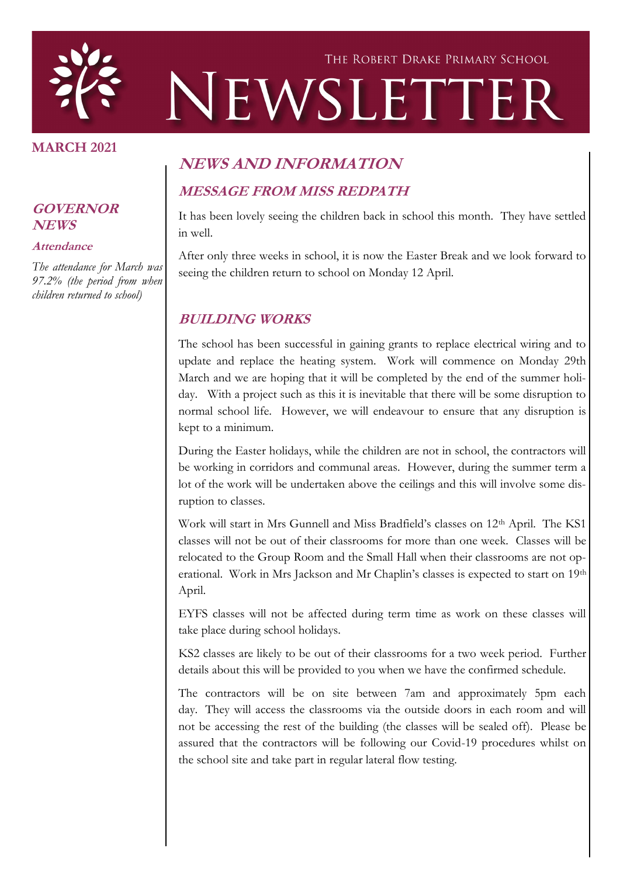

#### **MARCH 2021**

#### **GOVERNOR NEWS**

#### **Attendance**

*The attendance for March was 97.2% (the period from when children returned to school)*

# **NEWS AND INFORMATION MESSAGE FROM MISS REDPATH**

It has been lovely seeing the children back in school this month. They have settled in well.

After only three weeks in school, it is now the Easter Break and we look forward to seeing the children return to school on Monday 12 April.

#### **BUILDING WORKS**

The school has been successful in gaining grants to replace electrical wiring and to update and replace the heating system. Work will commence on Monday 29th March and we are hoping that it will be completed by the end of the summer holiday. With a project such as this it is inevitable that there will be some disruption to normal school life. However, we will endeavour to ensure that any disruption is kept to a minimum.

During the Easter holidays, while the children are not in school, the contractors will be working in corridors and communal areas. However, during the summer term a lot of the work will be undertaken above the ceilings and this will involve some disruption to classes.

Work will start in Mrs Gunnell and Miss Bradfield's classes on 12<sup>th</sup> April. The KS1 classes will not be out of their classrooms for more than one week. Classes will be relocated to the Group Room and the Small Hall when their classrooms are not operational. Work in Mrs Jackson and Mr Chaplin's classes is expected to start on 19th April.

EYFS classes will not be affected during term time as work on these classes will take place during school holidays.

KS2 classes are likely to be out of their classrooms for a two week period. Further details about this will be provided to you when we have the confirmed schedule.

The contractors will be on site between 7am and approximately 5pm each day. They will access the classrooms via the outside doors in each room and will not be accessing the rest of the building (the classes will be sealed off). Please be assured that the contractors will be following our Covid-19 procedures whilst on the school site and take part in regular lateral flow testing.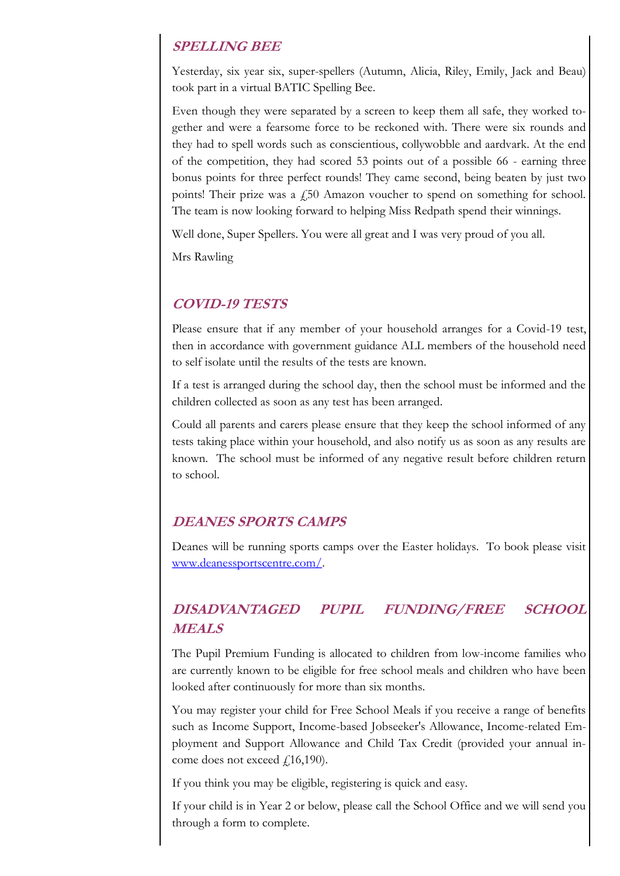#### **SPELLING BEE**

Yesterday, six year six, super-spellers (Autumn, Alicia, Riley, Emily, Jack and Beau) took part in a virtual BATIC Spelling Bee.

Even though they were separated by a screen to keep them all safe, they worked together and were a fearsome force to be reckoned with. There were six rounds and they had to spell words such as conscientious, collywobble and aardvark. At the end of the competition, they had scored 53 points out of a possible 66 - earning three bonus points for three perfect rounds! They came second, being beaten by just two points! Their prize was a  $\dot{\psi}$  Amazon voucher to spend on something for school. The team is now looking forward to helping Miss Redpath spend their winnings.

Well done, Super Spellers. You were all great and I was very proud of you all.

Mrs Rawling

#### **COVID-19 TESTS**

Please ensure that if any member of your household arranges for a Covid-19 test, then in accordance with government guidance ALL members of the household need to self isolate until the results of the tests are known.

If a test is arranged during the school day, then the school must be informed and the children collected as soon as any test has been arranged.

Could all parents and carers please ensure that they keep the school informed of any tests taking place within your household, and also notify us as soon as any results are known. The school must be informed of any negative result before children return to school.

#### **DEANES SPORTS CAMPS**

Deanes will be running sports camps over the Easter holidays. To book please visit [www.deanessportscentre.com/.](http://www.deanessportscentre.com/holiday-camps)

### **DISADVANTAGED PUPIL FUNDING/FREE SCHOOL MEALS**

The Pupil Premium Funding is allocated to children from low-income families who are currently known to be eligible for free school meals and children who have been looked after continuously for more than six months.

You may register your child for Free School Meals if you receive a range of benefits such as Income Support, Income-based Jobseeker's Allowance, Income-related Employment and Support Allowance and Child Tax Credit (provided your annual income does not exceed  $f(16,190)$ .

If you think you may be eligible, registering is quick and easy.

If your child is in Year 2 or below, please call the School Office and we will send you through a form to complete.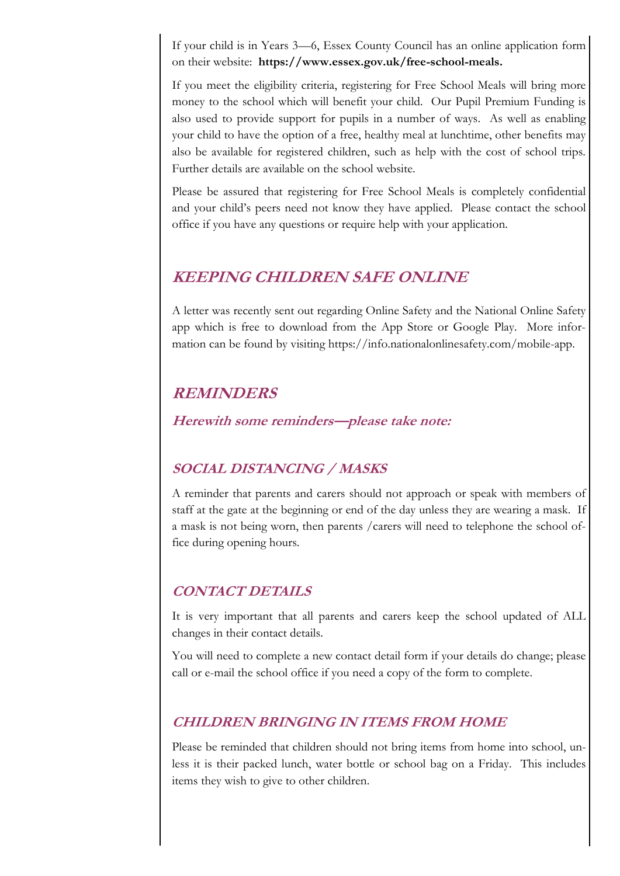If your child is in Years 3—6, Essex County Council has an online application form on their website: **https://www.essex.gov.uk/free-school-meals.**

If you meet the eligibility criteria, registering for Free School Meals will bring more money to the school which will benefit your child. Our Pupil Premium Funding is also used to provide support for pupils in a number of ways. As well as enabling your child to have the option of a free, healthy meal at lunchtime, other benefits may also be available for registered children, such as help with the cost of school trips. Further details are available on the school website.

Please be assured that registering for Free School Meals is completely confidential and your child's peers need not know they have applied. Please contact the school office if you have any questions or require help with your application.

### **KEEPING CHILDREN SAFE ONLINE**

A letter was recently sent out regarding Online Safety and the National Online Safety app which is free to download from the App Store or Google Play. More information can be found by visiting https://info.nationalonlinesafety.com/mobile-app.

## **REMINDERS**

**Herewith some reminders—please take note:**

### **SOCIAL DISTANCING / MASKS**

A reminder that parents and carers should not approach or speak with members of staff at the gate at the beginning or end of the day unless they are wearing a mask. If a mask is not being worn, then parents /carers will need to telephone the school office during opening hours.

### **CONTACT DETAILS**

It is very important that all parents and carers keep the school updated of ALL changes in their contact details.

You will need to complete a new contact detail form if your details do change; please call or e-mail the school office if you need a copy of the form to complete.

### **CHILDREN BRINGING IN ITEMS FROM HOME**

Please be reminded that children should not bring items from home into school, unless it is their packed lunch, water bottle or school bag on a Friday. This includes items they wish to give to other children.